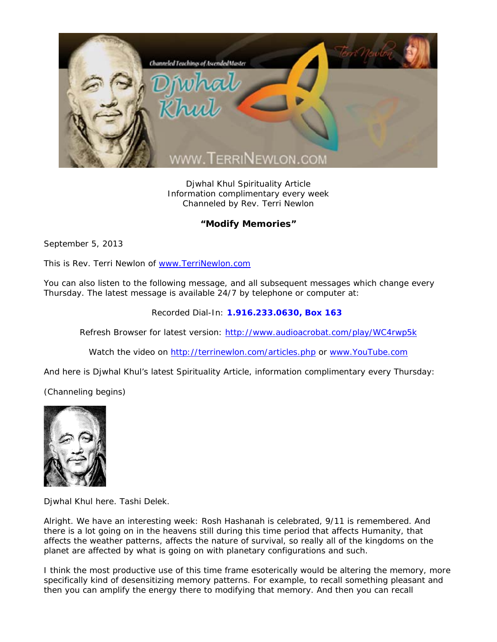

Djwhal Khul Spirituality Article Information complimentary every week Channeled by Rev. Terri Newlon

## **"Modify Memories"**

September 5, 2013

This is Rev. Terri Newlon of www.TerriNewlon.com

You can also listen to the following message, and all subsequent messages which change every Thursday. The latest message is available 24/7 by telephone or computer at:

Recorded Dial-In: **1.916.233.0630, Box 163** 

Refresh Browser for latest version: http://www.audioacrobat.com/play/WC4rwp5k

Watch the video on http://terrinewlon.com/articles.php or www.YouTube.com

And here is Djwhal Khul's latest Spirituality Article, information complimentary every Thursday:

(Channeling begins)



Djwhal Khul here. Tashi Delek.

Alright. We have an interesting week: Rosh Hashanah is celebrated, 9/11 is remembered. And there is a lot going on in the heavens still during this time period that affects Humanity, that affects the weather patterns, affects the nature of survival, so really all of the kingdoms on the planet are affected by what is going on with planetary configurations and such.

I think the most productive use of this time frame esoterically would be altering the memory, more specifically kind of *desensitizing* memory patterns. For example, to recall something pleasant and then you can amplify the energy there to modifying that memory. And then you can recall